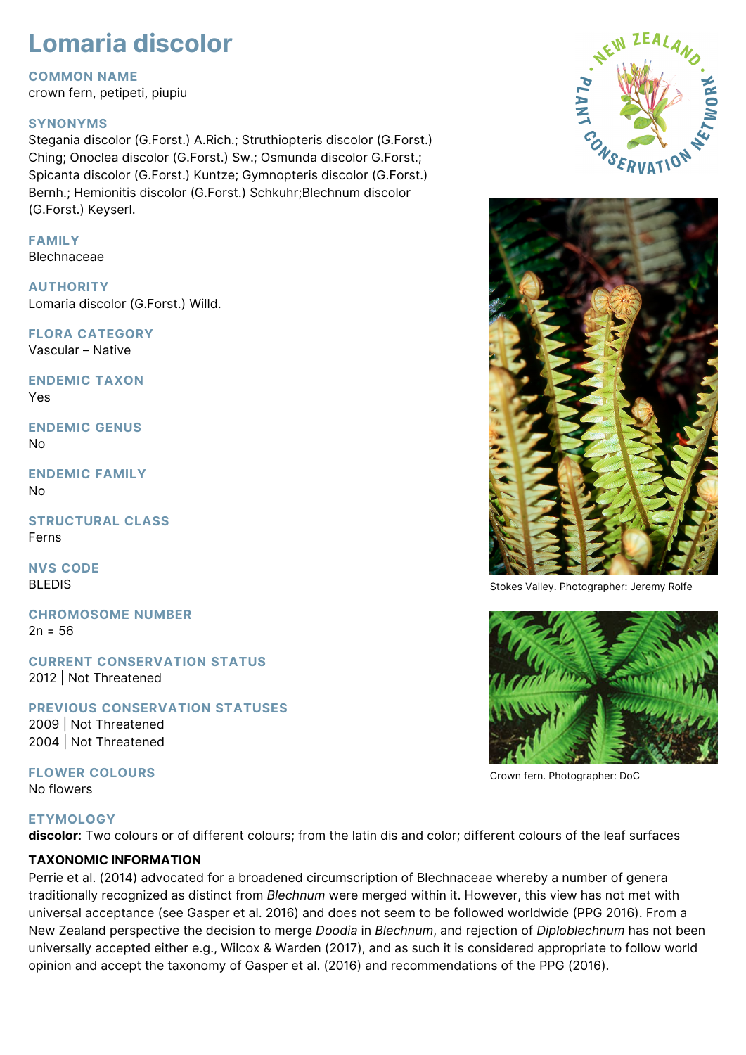# **Lomaria discolor**

#### **COMMON NAME**

crown fern, petipeti, piupiu

### **SYNONYMS**

Stegania discolor (G.Forst.) A.Rich.; Struthiopteris discolor (G.Forst.) Ching; Onoclea discolor (G.Forst.) Sw.; Osmunda discolor G.Forst.; Spicanta discolor (G.Forst.) Kuntze; Gymnopteris discolor (G.Forst.) Bernh.; Hemionitis discolor (G.Forst.) Schkuhr;Blechnum discolor (G.Forst.) Keyserl.

# **FAMILY**

Blechnaceae

**AUTHORITY** Lomaria discolor (G.Forst.) Willd.

**FLORA CATEGORY** Vascular – Native

**ENDEMIC TAXON** Yes

**ENDEMIC GENUS** No

**ENDEMIC FAMILY** No

**STRUCTURAL CLASS** Ferns

**NVS CODE** BLEDIS

**CHROMOSOME NUMBER**  $2n = 56$ 

**CURRENT CONSERVATION STATUS** 2012 | Not Threatened

**PREVIOUS CONSERVATION STATUSES**

2009 | Not Threatened 2004 | Not Threatened

**FLOWER COLOURS** No flowers

### **ETYMOLOGY**

**discolor**: Two colours or of different colours; from the latin dis and color; different colours of the leaf surfaces

## **TAXONOMIC INFORMATION**

Perrie et al. (2014) advocated for a broadened circumscription of Blechnaceae whereby a number of genera traditionally recognized as distinct from *Blechnum* were merged within it. However, this view has not met with universal acceptance (see Gasper et al. 2016) and does not seem to be followed worldwide (PPG 2016). From a New Zealand perspective the decision to merge *Doodia* in *Blechnum*, and rejection of *Diploblechnum* has not been universally accepted either e.g., Wilcox & Warden (2017), and as such it is considered appropriate to follow world opinion and accept the taxonomy of Gasper et al. (2016) and recommendations of the PPG (2016).





Stokes Valley. Photographer: Jeremy Rolfe



Crown fern. Photographer: DoC